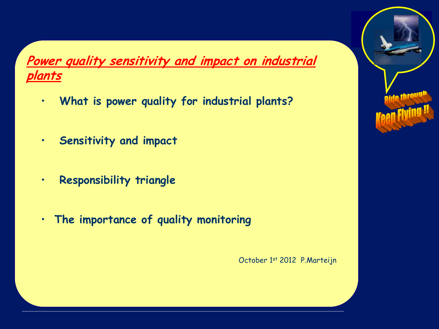**Power quality sensitivity and impact on industrial plants**

- • **What is power quality for industrial plants?**
- • **Sensitivity and impact**
- • **Responsibility triangle**
- • **The importance of quality monitoring**



October 1st 2012 P.Marteijn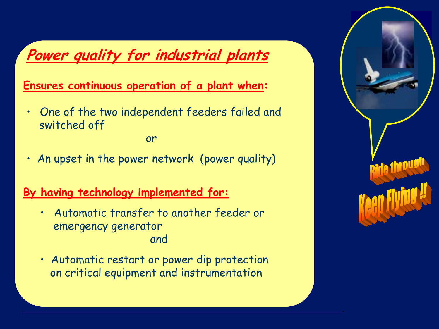# **Power quality for industrial plants**

 **Ensures continuous operation of a plant when:**

•One of the two independent feeders failed and switched off

or

• An upset in the power network (power quality)

#### **By having technology implemented for:**

- •Automatic transfer to another feeder or emergency generator and
- Automatic restart or power dip protection on critical equipment and instrumentation

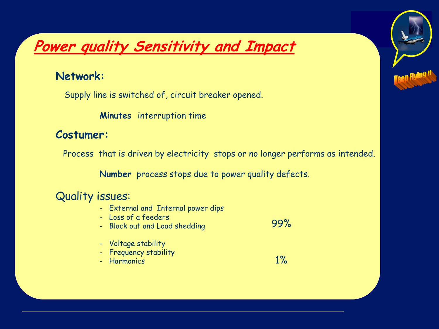# **Power quality Sensitivity and Impact**

#### **Network:**

Supply line is switched of, circuit breaker opened.

**Minutes** interruption time

#### **Costumer:**

Process that is driven by electricity stops or no longer performs as intended.

99%

1%

**Number** process stops due to power quality defects.

#### Quality issues:

- External and Internal power dips
- Loss of a feeders
- Black out and Load shedding
- Voltage stability
- Frequency stability
- Harmonics

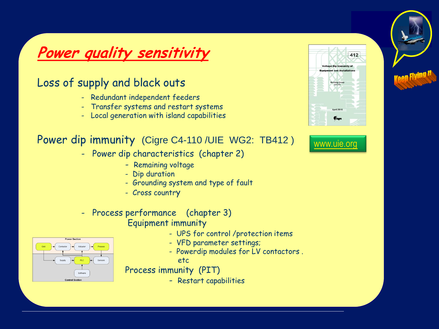# **Power quality sensitivity**

#### Loss of supply and black outs

- Redundant independent feeders
- Transfer systems and restart systems
- Local generation with island capabilities

#### Power dip immunity (Cigre C4-110 /UIE WG2: TB412 )

- Power dip characteristics (chapter 2)
	- Remaining voltage
	- Dip duration
	- Grounding system and type of fault
	- Cross country

#### - Process performance (chapter 3) Equipment immunity

- UPS for control /protection items
- VFD parameter settings;
- Powerdip modules for LV contactors .
- etc

Process immunity (PIT)

- Restart capabilities



### [www.uie.org](http://www.ui.org/)

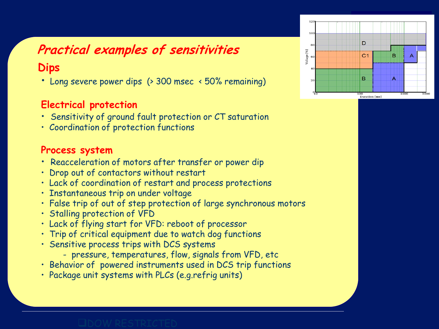# **Practical examples of sensitivities**

#### **Dips**

• Long severe power dips (> 300 msec < 50% remaining)

#### **Electrical protection**

- Sensitivity of ground fault protection or CT saturation
- Coordination of protection functions

#### **Process system**

- Reacceleration of motors after transfer or power dip
- Drop out of contactors without restart
- Lack of coordination of restart and process protections
- Instantaneous trip on under voltage
- False trip of out of step protection of large synchronous motors
- Stalling protection of VFD
- Lack of flying start for VFD: reboot of processor
- Trip of critical equipment due to watch dog functions
- Sensitive process trips with DCS systems
	- pressure, temperatures, flow, signals from VFD, etc
- Behavior of powered instruments used in DCS trip functions
- Package unit systems with PLCs (e.g.refrig units)

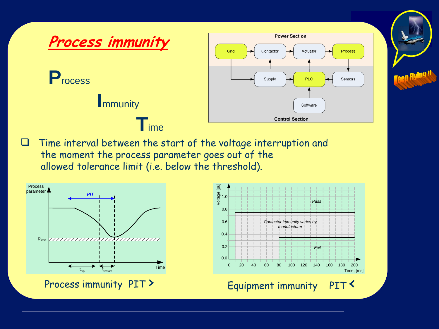

Time interval between the start of the voltage interruption and the moment the process parameter goes out of the allowed tolerance limit (i.e. below the threshold).



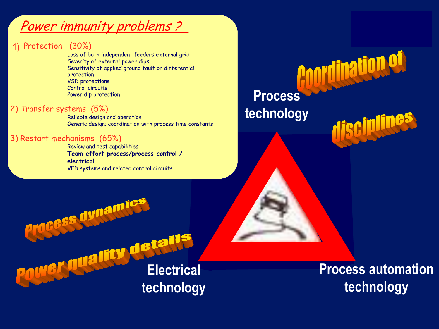## Power immunity problems ?

#### 1) Protection (30%)

Loss of both independent feeders external grid Severity of external power dips Sensitivity of applied ground fault or differential protection VSD protections Control circuits Power dip protection

#### 2) Transfer systems (5%)

Reliable design and operation Generic design; coordination with process time constants

#### 3) Restart mechanisms (65%)

Review and test capabilities **Team effort process/process control / electrical** VFD systems and related control circuits

# **Process technology**

rocess dynamics **Wer duality details technology**

**Process automation technology**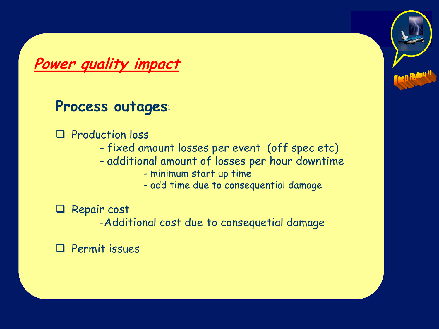**Power quality impact**

# **Process outages**:

- **Q** Production loss
	- fixed amount losses per event (off spec etc)
	- additional amount of losses per hour downtime
		- minimum start up time
		- add time due to consequential damage

**Q** Repair cost

-Additional cost due to consequetial damage

Permit issues

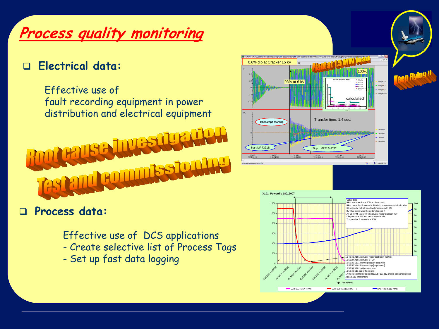# **Process quality monitoring**

BBL

#### **Electrical data:**

•

Effective use of fault recording equipment in power distribution and electrical equipment Transfer time: 14 sec.





 **Process data:** 

Effective use of DCS applications

- Create selective list of Process Tags
- Set up fast data logging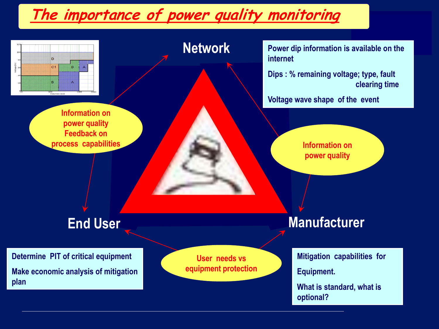# **The importance of power quality monitoring**

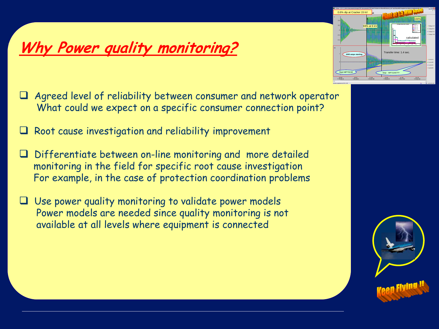# **Why Power quality monitoring?**

•

- $\Box$  Agreed level of reliability between consumer and network operator What could we expect on a specific consumer connection point?
- Root cause investigation and reliability improvement
- Differentiate between on-line monitoring and more detailed monitoring in the field for specific root cause investigation For example, in the case of protection coordination problems
- Use power quality monitoring to validate power models Power models are needed since quality monitoring is not available at all levels where equipment is connected